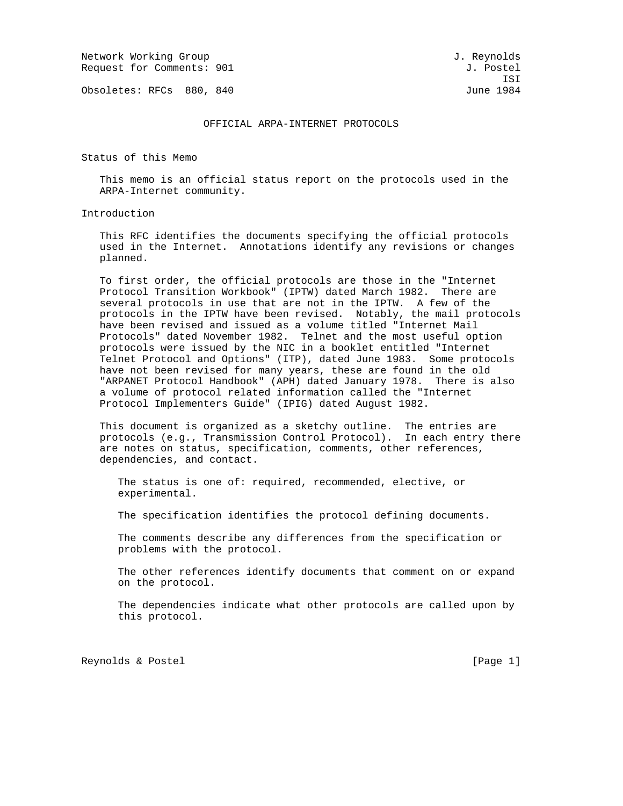Network Working Group and Services and Services and J. Reynolds Request for Comments: 901 J. Postel

Obsoletes: RFCs 880, 840 June 1984

#### OFFICIAL ARPA-INTERNET PROTOCOLS

Status of this Memo

 This memo is an official status report on the protocols used in the ARPA-Internet community.

Introduction

 This RFC identifies the documents specifying the official protocols used in the Internet. Annotations identify any revisions or changes planned.

 To first order, the official protocols are those in the "Internet Protocol Transition Workbook" (IPTW) dated March 1982. There are several protocols in use that are not in the IPTW. A few of the protocols in the IPTW have been revised. Notably, the mail protocols have been revised and issued as a volume titled "Internet Mail Protocols" dated November 1982. Telnet and the most useful option protocols were issued by the NIC in a booklet entitled "Internet Telnet Protocol and Options" (ITP), dated June 1983. Some protocols have not been revised for many years, these are found in the old "ARPANET Protocol Handbook" (APH) dated January 1978. There is also a volume of protocol related information called the "Internet Protocol Implementers Guide" (IPIG) dated August 1982.

 This document is organized as a sketchy outline. The entries are protocols (e.g., Transmission Control Protocol). In each entry there are notes on status, specification, comments, other references, dependencies, and contact.

 The status is one of: required, recommended, elective, or experimental.

The specification identifies the protocol defining documents.

 The comments describe any differences from the specification or problems with the protocol.

 The other references identify documents that comment on or expand on the protocol.

 The dependencies indicate what other protocols are called upon by this protocol.

Reynolds & Postel [Page 1]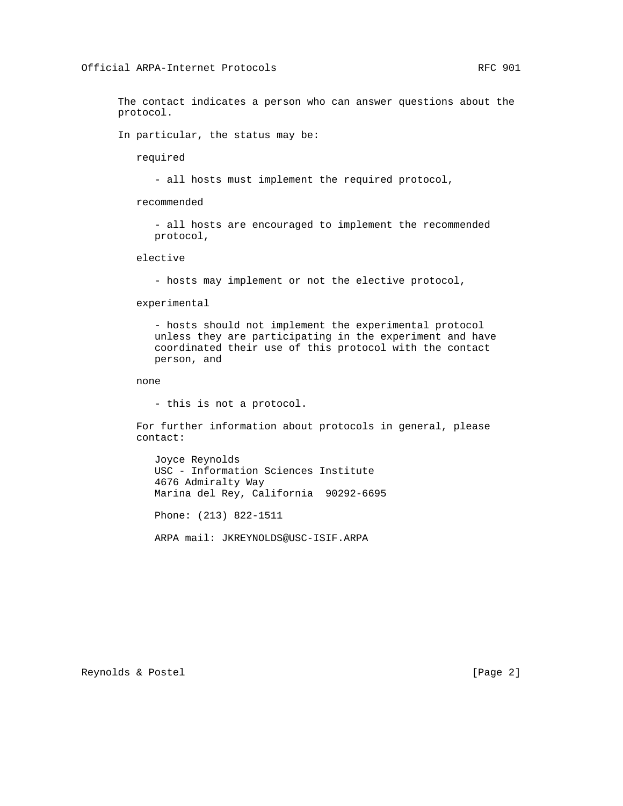The contact indicates a person who can answer questions about the protocol.

In particular, the status may be:

required

- all hosts must implement the required protocol,

recommended

 - all hosts are encouraged to implement the recommended protocol,

elective

- hosts may implement or not the elective protocol,

experimental

 - hosts should not implement the experimental protocol unless they are participating in the experiment and have coordinated their use of this protocol with the contact person, and

none

- this is not a protocol.

 For further information about protocols in general, please contact:

 Joyce Reynolds USC - Information Sciences Institute 4676 Admiralty Way Marina del Rey, California 90292-6695

Phone: (213) 822-1511

ARPA mail: JKREYNOLDS@USC-ISIF.ARPA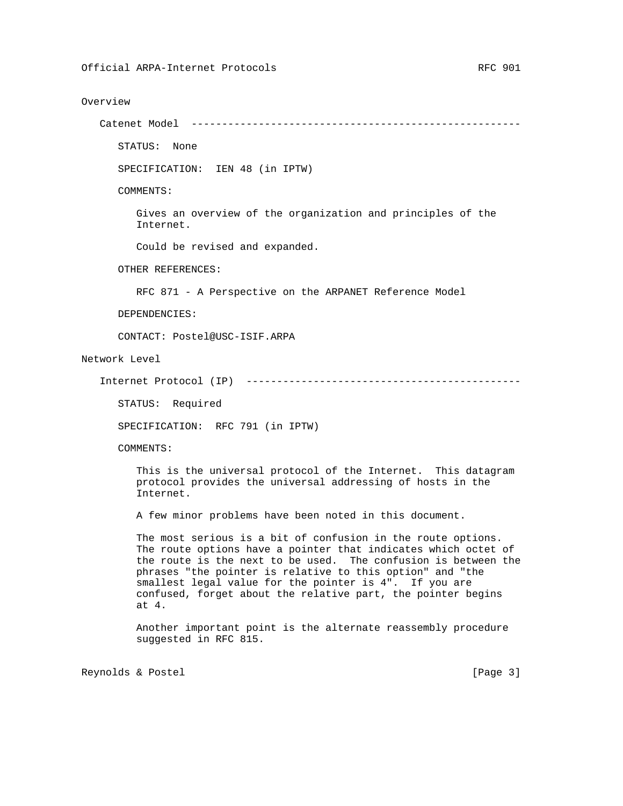#### Overview

Catenet Model ------------------------------------------------------

STATUS: None

SPECIFICATION: IEN 48 (in IPTW)

COMMENTS:

 Gives an overview of the organization and principles of the Internet.

Could be revised and expanded.

OTHER REFERENCES:

RFC 871 - A Perspective on the ARPANET Reference Model

DEPENDENCIES:

CONTACT: Postel@USC-ISIF.ARPA

Network Level

Internet Protocol (IP) ---------------------------------------------

STATUS: Required

SPECIFICATION: RFC 791 (in IPTW)

COMMENTS:

 This is the universal protocol of the Internet. This datagram protocol provides the universal addressing of hosts in the Internet.

A few minor problems have been noted in this document.

 The most serious is a bit of confusion in the route options. The route options have a pointer that indicates which octet of the route is the next to be used. The confusion is between the phrases "the pointer is relative to this option" and "the smallest legal value for the pointer is 4". If you are confused, forget about the relative part, the pointer begins at 4.

 Another important point is the alternate reassembly procedure suggested in RFC 815.

Reynolds & Postel [Page 3]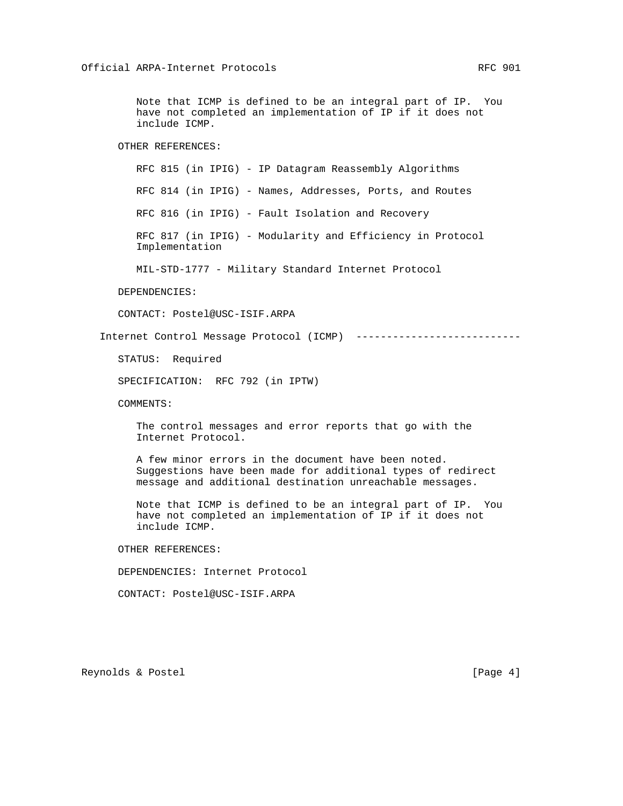Note that ICMP is defined to be an integral part of IP. You have not completed an implementation of IP if it does not include ICMP.

## OTHER REFERENCES:

RFC 815 (in IPIG) - IP Datagram Reassembly Algorithms

RFC 814 (in IPIG) - Names, Addresses, Ports, and Routes

RFC 816 (in IPIG) - Fault Isolation and Recovery

 RFC 817 (in IPIG) - Modularity and Efficiency in Protocol Implementation

MIL-STD-1777 - Military Standard Internet Protocol

#### DEPENDENCIES:

CONTACT: Postel@USC-ISIF.ARPA

Internet Control Message Protocol (ICMP) ---------------------------

STATUS: Required

SPECIFICATION: RFC 792 (in IPTW)

COMMENTS:

 The control messages and error reports that go with the Internet Protocol.

 A few minor errors in the document have been noted. Suggestions have been made for additional types of redirect message and additional destination unreachable messages.

 Note that ICMP is defined to be an integral part of IP. You have not completed an implementation of IP if it does not include ICMP.

OTHER REFERENCES:

DEPENDENCIES: Internet Protocol

CONTACT: Postel@USC-ISIF.ARPA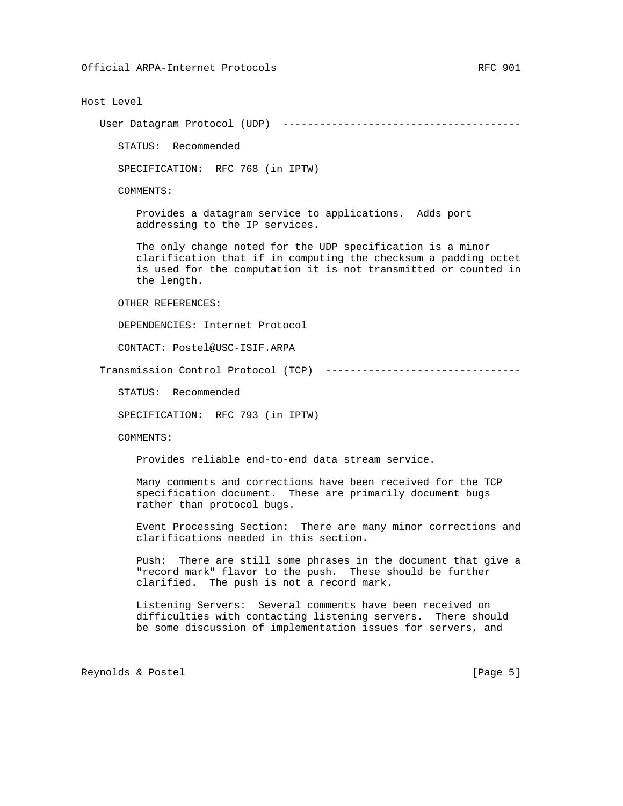## Host Level

User Datagram Protocol (UDP) ---------------------------------------

STATUS: Recommended

SPECIFICATION: RFC 768 (in IPTW)

COMMENTS:

 Provides a datagram service to applications. Adds port addressing to the IP services.

 The only change noted for the UDP specification is a minor clarification that if in computing the checksum a padding octet is used for the computation it is not transmitted or counted in the length.

OTHER REFERENCES:

DEPENDENCIES: Internet Protocol

CONTACT: Postel@USC-ISIF.ARPA

Transmission Control Protocol (TCP) --------------------------------

STATUS: Recommended

SPECIFICATION: RFC 793 (in IPTW)

COMMENTS:

Provides reliable end-to-end data stream service.

 Many comments and corrections have been received for the TCP specification document. These are primarily document bugs rather than protocol bugs.

 Event Processing Section: There are many minor corrections and clarifications needed in this section.

 Push: There are still some phrases in the document that give a "record mark" flavor to the push. These should be further clarified. The push is not a record mark.

 Listening Servers: Several comments have been received on difficulties with contacting listening servers. There should be some discussion of implementation issues for servers, and

Reynolds & Postel [Page 5]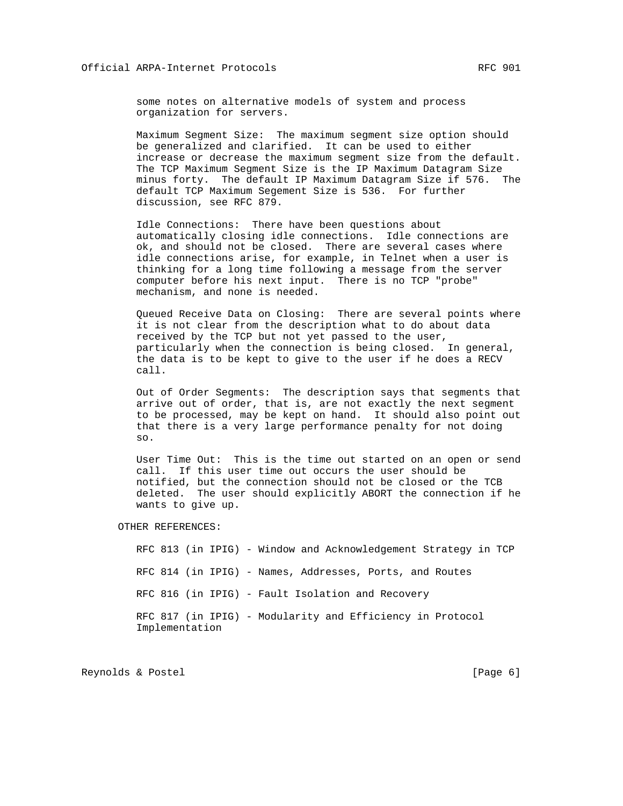some notes on alternative models of system and process organization for servers.

 Maximum Segment Size: The maximum segment size option should be generalized and clarified. It can be used to either increase or decrease the maximum segment size from the default. The TCP Maximum Segment Size is the IP Maximum Datagram Size minus forty. The default IP Maximum Datagram Size if 576. The default TCP Maximum Segement Size is 536. For further discussion, see RFC 879.

 Idle Connections: There have been questions about automatically closing idle connections. Idle connections are ok, and should not be closed. There are several cases where idle connections arise, for example, in Telnet when a user is thinking for a long time following a message from the server computer before his next input. There is no TCP "probe" mechanism, and none is needed.

 Queued Receive Data on Closing: There are several points where it is not clear from the description what to do about data received by the TCP but not yet passed to the user, particularly when the connection is being closed. In general, the data is to be kept to give to the user if he does a RECV call.

 Out of Order Segments: The description says that segments that arrive out of order, that is, are not exactly the next segment to be processed, may be kept on hand. It should also point out that there is a very large performance penalty for not doing so.

 User Time Out: This is the time out started on an open or send call. If this user time out occurs the user should be notified, but the connection should not be closed or the TCB deleted. The user should explicitly ABORT the connection if he wants to give up.

OTHER REFERENCES:

 RFC 813 (in IPIG) - Window and Acknowledgement Strategy in TCP RFC 814 (in IPIG) - Names, Addresses, Ports, and Routes RFC 816 (in IPIG) - Fault Isolation and Recovery RFC 817 (in IPIG) - Modularity and Efficiency in Protocol Implementation

Reynolds & Postel [Page 6]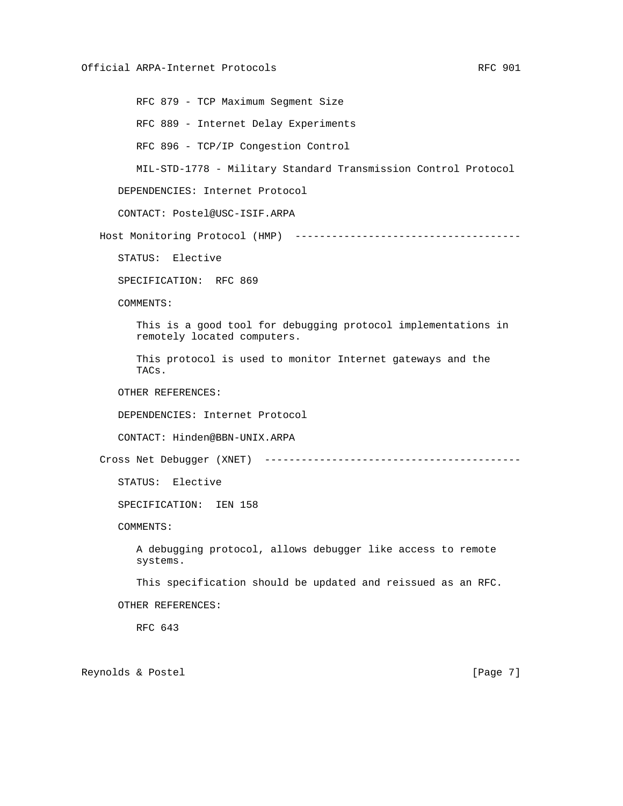RFC 879 - TCP Maximum Segment Size RFC 889 - Internet Delay Experiments RFC 896 - TCP/IP Congestion Control MIL-STD-1778 - Military Standard Transmission Control Protocol DEPENDENCIES: Internet Protocol CONTACT: Postel@USC-ISIF.ARPA Host Monitoring Protocol (HMP) ------------------------------------- STATUS: Elective SPECIFICATION: RFC 869 COMMENTS: This is a good tool for debugging protocol implementations in remotely located computers. This protocol is used to monitor Internet gateways and the TACs. OTHER REFERENCES: DEPENDENCIES: Internet Protocol CONTACT: Hinden@BBN-UNIX.ARPA Cross Net Debugger (XNET) ------------------------------------------ STATUS: Elective SPECIFICATION: IEN 158 COMMENTS: A debugging protocol, allows debugger like access to remote systems. This specification should be updated and reissued as an RFC. OTHER REFERENCES: RFC 643 Reynolds & Postel **Example 2** (Page 7)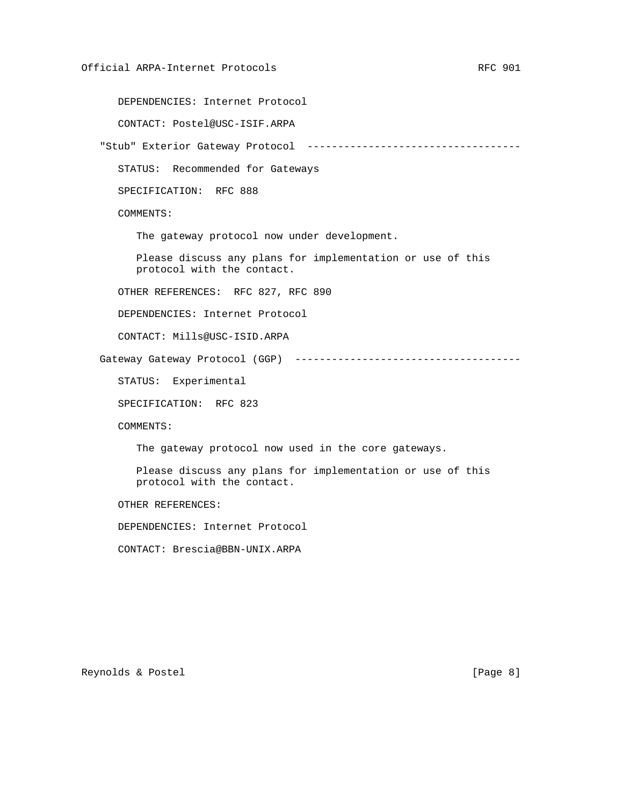DEPENDENCIES: Internet Protocol

CONTACT: Postel@USC-ISIF.ARPA

"Stub" Exterior Gateway Protocol -----------------------------------

STATUS: Recommended for Gateways

SPECIFICATION: RFC 888

COMMENTS:

The gateway protocol now under development.

 Please discuss any plans for implementation or use of this protocol with the contact.

OTHER REFERENCES: RFC 827, RFC 890

DEPENDENCIES: Internet Protocol

CONTACT: Mills@USC-ISID.ARPA

Gateway Gateway Protocol (GGP) -------------------------------------

STATUS: Experimental

SPECIFICATION: RFC 823

COMMENTS:

The gateway protocol now used in the core gateways.

 Please discuss any plans for implementation or use of this protocol with the contact.

OTHER REFERENCES:

DEPENDENCIES: Internet Protocol

CONTACT: Brescia@BBN-UNIX.ARPA

Reynolds & Postel **Example 20** (Page 8)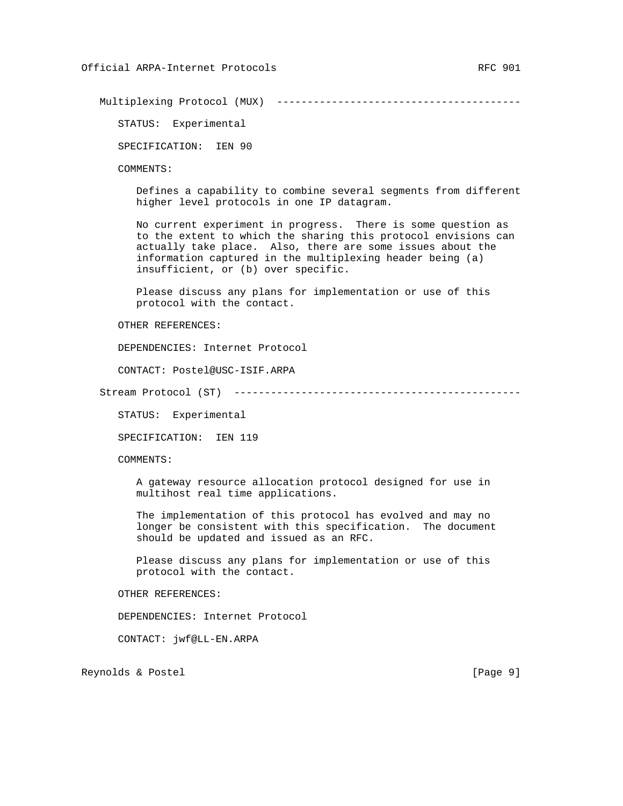Multiplexing Protocol (MUX) ----------------------------------------

STATUS: Experimental

SPECIFICATION: IEN 90

COMMENTS:

 Defines a capability to combine several segments from different higher level protocols in one IP datagram.

 No current experiment in progress. There is some question as to the extent to which the sharing this protocol envisions can actually take place. Also, there are some issues about the information captured in the multiplexing header being (a) insufficient, or (b) over specific.

 Please discuss any plans for implementation or use of this protocol with the contact.

OTHER REFERENCES:

DEPENDENCIES: Internet Protocol

CONTACT: Postel@USC-ISIF.ARPA

Stream Protocol (ST) -----------------------------------------------

STATUS: Experimental

SPECIFICATION: IEN 119

COMMENTS:

 A gateway resource allocation protocol designed for use in multihost real time applications.

 The implementation of this protocol has evolved and may no longer be consistent with this specification. The document should be updated and issued as an RFC.

 Please discuss any plans for implementation or use of this protocol with the contact.

OTHER REFERENCES:

DEPENDENCIES: Internet Protocol

CONTACT: jwf@LL-EN.ARPA

Reynolds & Postel **Example 20** (Page 9)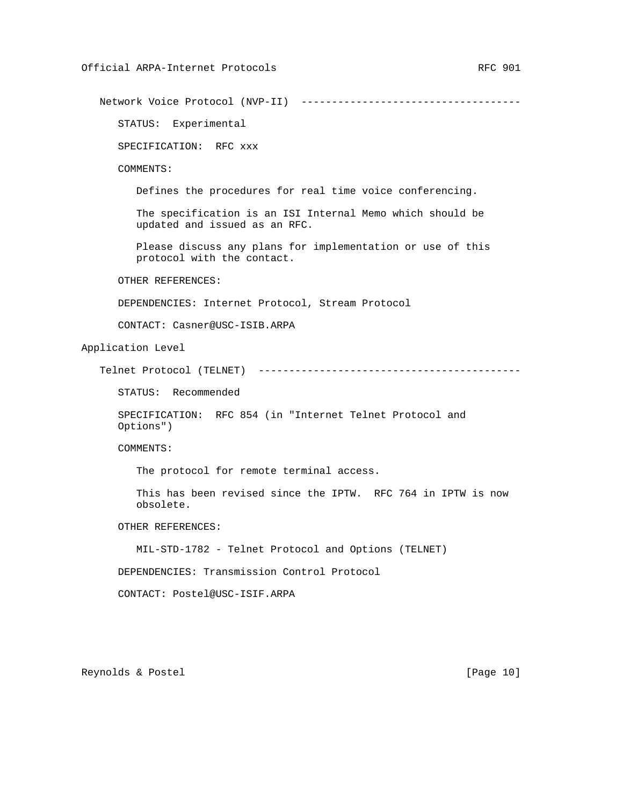Network Voice Protocol (NVP-II) ------------------------------------

STATUS: Experimental

SPECIFICATION: RFC xxx

COMMENTS:

Defines the procedures for real time voice conferencing.

 The specification is an ISI Internal Memo which should be updated and issued as an RFC.

 Please discuss any plans for implementation or use of this protocol with the contact.

OTHER REFERENCES:

DEPENDENCIES: Internet Protocol, Stream Protocol

CONTACT: Casner@USC-ISIB.ARPA

Application Level

```
 Telnet Protocol (TELNET) -------------------------------------------
```
STATUS: Recommended

 SPECIFICATION: RFC 854 (in "Internet Telnet Protocol and Options")

COMMENTS:

The protocol for remote terminal access.

 This has been revised since the IPTW. RFC 764 in IPTW is now obsolete.

OTHER REFERENCES:

MIL-STD-1782 - Telnet Protocol and Options (TELNET)

DEPENDENCIES: Transmission Control Protocol

CONTACT: Postel@USC-ISIF.ARPA

Reynolds & Postel [Page 10]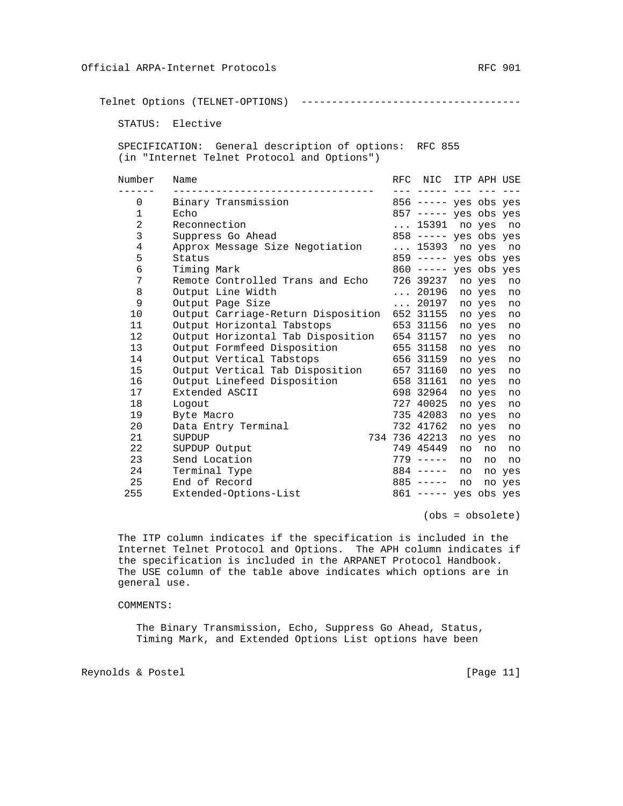Telnet Options (TELNET-OPTIONS) ------------------------------------

STATUS: Elective

 SPECIFICATION: General description of options: RFC 855 (in "Internet Telnet Protocol and Options")

| Number         | Name                                        | RFC NIC ITP APH USE     |    |        |        |
|----------------|---------------------------------------------|-------------------------|----|--------|--------|
|                |                                             |                         |    |        |        |
| $\Omega$       | Binary Transmission                         | 856 ----- yes obs yes   |    |        |        |
| $\mathbf 1$    | Echo                                        | $857$ ----- yes obs yes |    |        |        |
| $\overline{2}$ | Reconnection                                | $\ldots$ 15391          |    | no yes | no     |
| 3              | Suppress Go Ahead                           | $858$ ----- yes obs yes |    |        |        |
| 4              | Approx Message Size Negotiation             | $\ldots$ 15393 no yes   |    |        | no     |
| 5              | Status                                      | $859$ ----- yes obs yes |    |        |        |
| 6              | Timing Mark                                 | 860 ----- yes obs yes   |    |        |        |
| 7              | Remote Controlled Trans and Echo            | 726 39237               |    | no yes | no     |
| 8              | Output Line Width                           | $\ldots$ 20196          |    | no yes | no     |
| 9              | Output Page Size                            | $\ldots$ 20197          |    | no yes | no     |
| 10             | Output Carriage-Return Disposition          | 652 31155               |    | no yes | no     |
| 11             | Output Horizontal Tabstops                  | 653 31156               |    | no yes | no     |
| 12             | Output Horizontal Tab Disposition 654 31157 |                         |    | no yes | no     |
| 13             | Output Formfeed Disposition                 | 655 31158               |    | no yes | no     |
| 14             | Output Vertical Tabstops                    | 656 31159               |    | no yes | no     |
| 15             | Output Vertical Tab Disposition             | 657 31160               |    | no yes | no     |
| 16             | Output Linefeed Disposition                 | 658 31161               |    | no yes | no     |
| 17             | Extended ASCII                              | 698 32964               |    | no yes | no     |
| 18             | Logout                                      | 727 40025               |    | no yes | no     |
| 19             | Byte Macro                                  | 735 42083               |    | no yes | no     |
| 20             | Data Entry Terminal                         | 732 41762               |    | no yes | no     |
| 21             | SUPDUP                                      | 734 736 42213           |    | no yes | no     |
| 22             | SUPDUP Output                               | 749 45449               | no | no     | no     |
| 23             | Send Location                               | $779 - - - -$           | no | no     | no     |
| 24             | Terminal Type                               | $884$ -----             | no |        | no yes |
| 25             | End of Record                               | $885$ -----             | no |        | no yes |
| 255            | Extended-Options-List                       | $861$ ----- yes obs yes |    |        |        |

(obs = obsolete)

 The ITP column indicates if the specification is included in the Internet Telnet Protocol and Options. The APH column indicates if the specification is included in the ARPANET Protocol Handbook. The USE column of the table above indicates which options are in general use.

#### COMMENTS:

 The Binary Transmission, Echo, Suppress Go Ahead, Status, Timing Mark, and Extended Options List options have been

Reynolds & Postel [Page 11]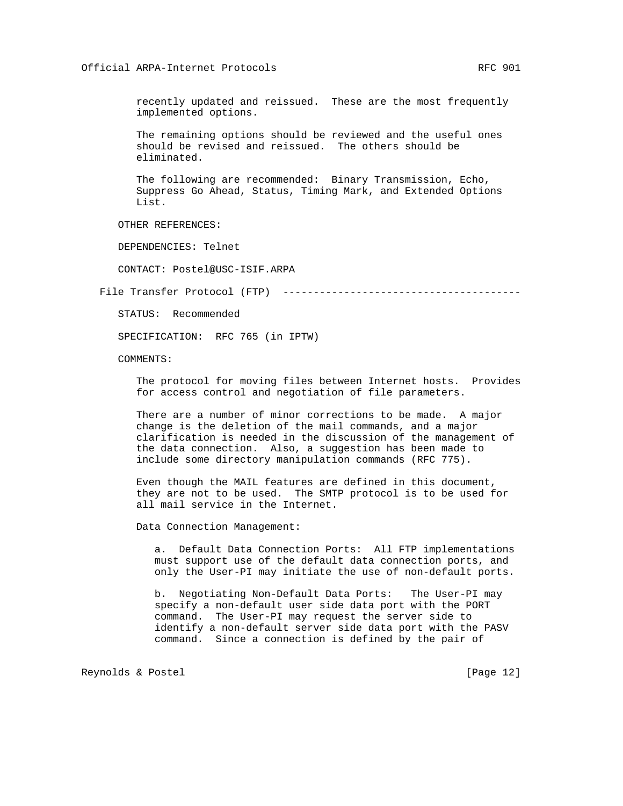recently updated and reissued. These are the most frequently implemented options.

 The remaining options should be reviewed and the useful ones should be revised and reissued. The others should be eliminated.

 The following are recommended: Binary Transmission, Echo, Suppress Go Ahead, Status, Timing Mark, and Extended Options List.

OTHER REFERENCES:

DEPENDENCIES: Telnet

CONTACT: Postel@USC-ISIF.ARPA

File Transfer Protocol (FTP) ---------------------------------------

STATUS: Recommended

SPECIFICATION: RFC 765 (in IPTW)

COMMENTS:

 The protocol for moving files between Internet hosts. Provides for access control and negotiation of file parameters.

 There are a number of minor corrections to be made. A major change is the deletion of the mail commands, and a major clarification is needed in the discussion of the management of the data connection. Also, a suggestion has been made to include some directory manipulation commands (RFC 775).

 Even though the MAIL features are defined in this document, they are not to be used. The SMTP protocol is to be used for all mail service in the Internet.

Data Connection Management:

 a. Default Data Connection Ports: All FTP implementations must support use of the default data connection ports, and only the User-PI may initiate the use of non-default ports.

 b. Negotiating Non-Default Data Ports: The User-PI may specify a non-default user side data port with the PORT command. The User-PI may request the server side to identify a non-default server side data port with the PASV command. Since a connection is defined by the pair of

Reynolds & Postel [Page 12]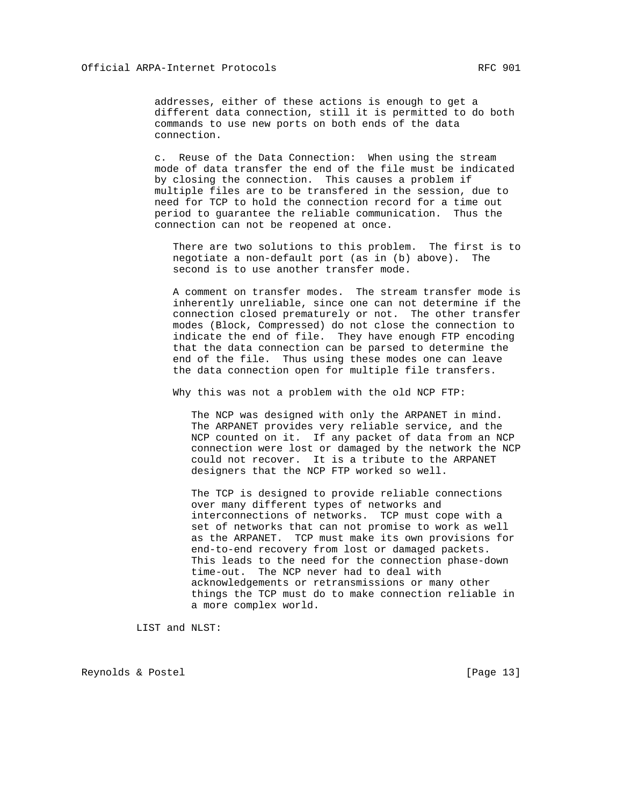addresses, either of these actions is enough to get a different data connection, still it is permitted to do both commands to use new ports on both ends of the data connection.

 c. Reuse of the Data Connection: When using the stream mode of data transfer the end of the file must be indicated by closing the connection. This causes a problem if multiple files are to be transfered in the session, due to need for TCP to hold the connection record for a time out period to guarantee the reliable communication. Thus the connection can not be reopened at once.

 There are two solutions to this problem. The first is to negotiate a non-default port (as in (b) above). The second is to use another transfer mode.

 A comment on transfer modes. The stream transfer mode is inherently unreliable, since one can not determine if the connection closed prematurely or not. The other transfer modes (Block, Compressed) do not close the connection to indicate the end of file. They have enough FTP encoding that the data connection can be parsed to determine the end of the file. Thus using these modes one can leave the data connection open for multiple file transfers.

Why this was not a problem with the old NCP FTP:

 The NCP was designed with only the ARPANET in mind. The ARPANET provides very reliable service, and the NCP counted on it. If any packet of data from an NCP connection were lost or damaged by the network the NCP could not recover. It is a tribute to the ARPANET designers that the NCP FTP worked so well.

 The TCP is designed to provide reliable connections over many different types of networks and interconnections of networks. TCP must cope with a set of networks that can not promise to work as well as the ARPANET. TCP must make its own provisions for end-to-end recovery from lost or damaged packets. This leads to the need for the connection phase-down time-out. The NCP never had to deal with acknowledgements or retransmissions or many other things the TCP must do to make connection reliable in a more complex world.

LIST and NLST:

Reynolds & Postel [Page 13]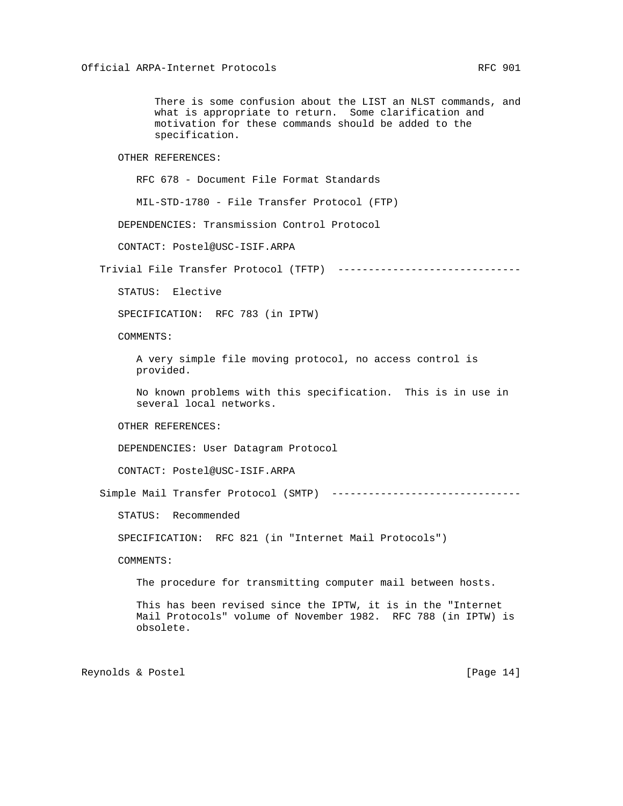There is some confusion about the LIST an NLST commands, and what is appropriate to return. Some clarification and motivation for these commands should be added to the specification.

OTHER REFERENCES:

RFC 678 - Document File Format Standards

MIL-STD-1780 - File Transfer Protocol (FTP)

DEPENDENCIES: Transmission Control Protocol

CONTACT: Postel@USC-ISIF.ARPA

Trivial File Transfer Protocol (TFTP) -------------------------------

STATUS: Elective

SPECIFICATION: RFC 783 (in IPTW)

COMMENTS:

 A very simple file moving protocol, no access control is provided.

 No known problems with this specification. This is in use in several local networks.

OTHER REFERENCES:

DEPENDENCIES: User Datagram Protocol

CONTACT: Postel@USC-ISIF.ARPA

Simple Mail Transfer Protocol (SMTP) -------------------------------

STATUS: Recommended

SPECIFICATION: RFC 821 (in "Internet Mail Protocols")

COMMENTS:

The procedure for transmitting computer mail between hosts.

 This has been revised since the IPTW, it is in the "Internet Mail Protocols" volume of November 1982. RFC 788 (in IPTW) is obsolete.

Reynolds & Postel [Page 14]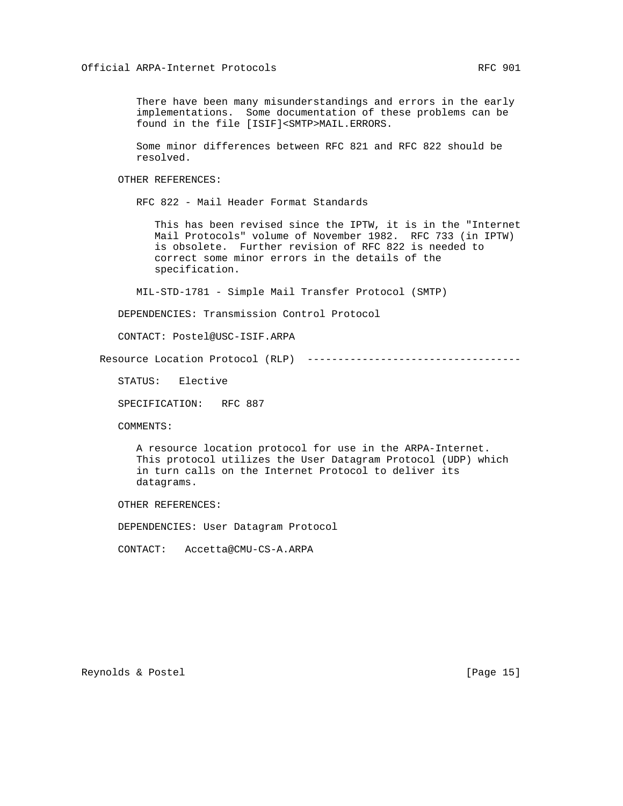There have been many misunderstandings and errors in the early implementations. Some documentation of these problems can be found in the file [ISIF]<SMTP>MAIL.ERRORS.

 Some minor differences between RFC 821 and RFC 822 should be resolved.

OTHER REFERENCES:

RFC 822 - Mail Header Format Standards

 This has been revised since the IPTW, it is in the "Internet Mail Protocols" volume of November 1982. RFC 733 (in IPTW) is obsolete. Further revision of RFC 822 is needed to correct some minor errors in the details of the specification.

MIL-STD-1781 - Simple Mail Transfer Protocol (SMTP)

DEPENDENCIES: Transmission Control Protocol

CONTACT: Postel@USC-ISIF.ARPA

Resource Location Protocol (RLP) -----------------------------------

STATUS: Elective

SPECIFICATION: RFC 887

COMMENTS:

 A resource location protocol for use in the ARPA-Internet. This protocol utilizes the User Datagram Protocol (UDP) which in turn calls on the Internet Protocol to deliver its datagrams.

OTHER REFERENCES:

DEPENDENCIES: User Datagram Protocol

CONTACT: Accetta@CMU-CS-A.ARPA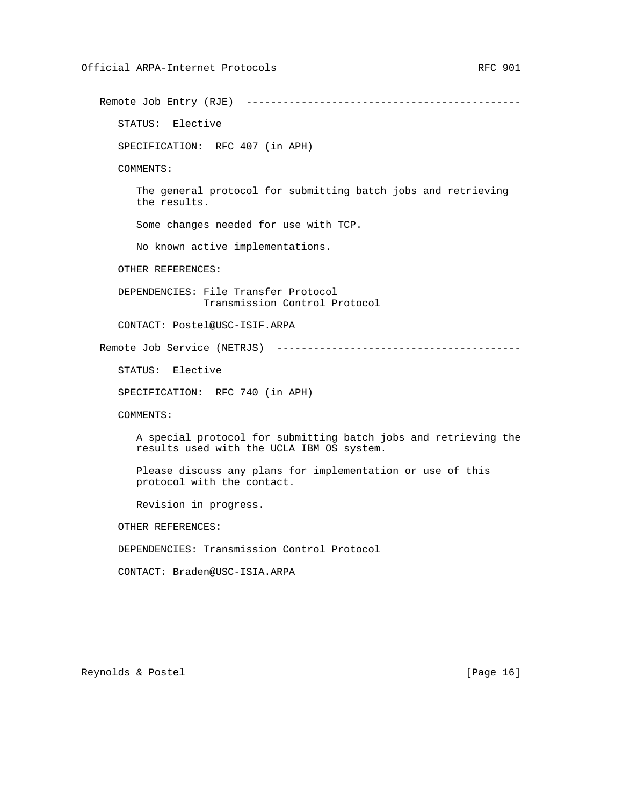Remote Job Entry (RJE) --------------------------------------------- STATUS: Elective SPECIFICATION: RFC 407 (in APH) COMMENTS: The general protocol for submitting batch jobs and retrieving the results. Some changes needed for use with TCP. No known active implementations. OTHER REFERENCES: DEPENDENCIES: File Transfer Protocol Transmission Control Protocol CONTACT: Postel@USC-ISIF.ARPA Remote Job Service (NETRJS) ---------------------------------------- STATUS: Elective SPECIFICATION: RFC 740 (in APH) COMMENTS: A special protocol for submitting batch jobs and retrieving the results used with the UCLA IBM OS system. Please discuss any plans for implementation or use of this protocol with the contact. Revision in progress. OTHER REFERENCES: DEPENDENCIES: Transmission Control Protocol CONTACT: Braden@USC-ISIA.ARPA

Reynolds & Postel [Page 16]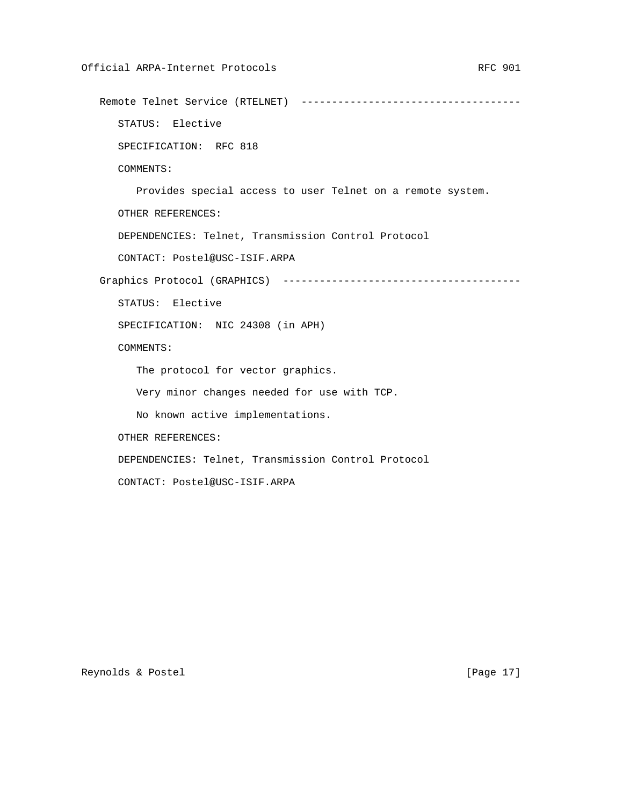Remote Telnet Service (RTELNET) ------------------------------------

STATUS: Elective

SPECIFICATION: RFC 818

COMMENTS:

Provides special access to user Telnet on a remote system.

OTHER REFERENCES:

DEPENDENCIES: Telnet, Transmission Control Protocol

CONTACT: Postel@USC-ISIF.ARPA

Graphics Protocol (GRAPHICS) ---------------------------------------

STATUS: Elective

SPECIFICATION: NIC 24308 (in APH)

COMMENTS:

The protocol for vector graphics.

Very minor changes needed for use with TCP.

No known active implementations.

OTHER REFERENCES:

DEPENDENCIES: Telnet, Transmission Control Protocol

CONTACT: Postel@USC-ISIF.ARPA

Reynolds & Postel [Page 17]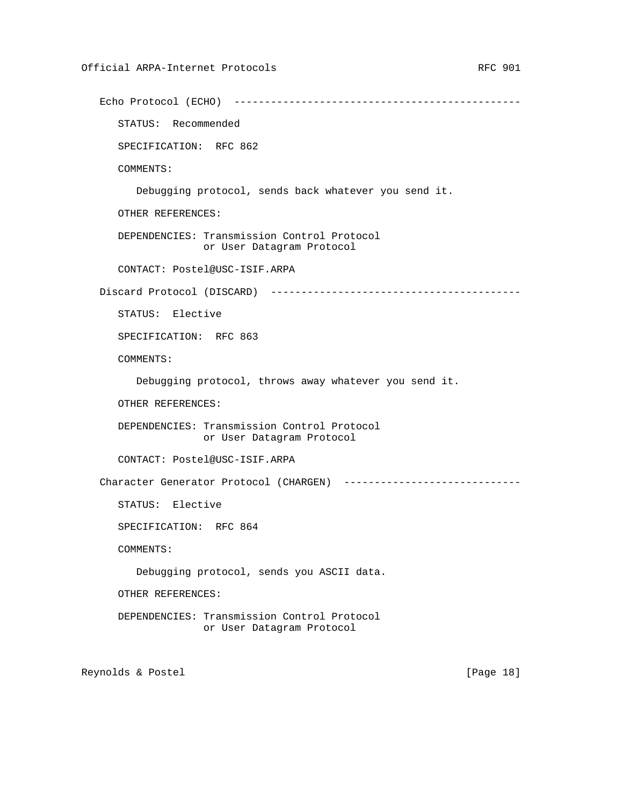```
 Echo Protocol (ECHO) -----------------------------------------------
    STATUS: Recommended
    SPECIFICATION: RFC 862
    COMMENTS:
       Debugging protocol, sends back whatever you send it.
    OTHER REFERENCES:
    DEPENDENCIES: Transmission Control Protocol
                  or User Datagram Protocol
    CONTACT: Postel@USC-ISIF.ARPA
 Discard Protocol (DISCARD) -----------------------------------------
    STATUS: Elective
    SPECIFICATION: RFC 863
    COMMENTS:
       Debugging protocol, throws away whatever you send it.
    OTHER REFERENCES:
    DEPENDENCIES: Transmission Control Protocol
                 or User Datagram Protocol
    CONTACT: Postel@USC-ISIF.ARPA
Character Generator Protocol (CHARGEN) -----------------------------
    STATUS: Elective
    SPECIFICATION: RFC 864
    COMMENTS:
       Debugging protocol, sends you ASCII data.
    OTHER REFERENCES:
    DEPENDENCIES: Transmission Control Protocol
                  or User Datagram Protocol
```
Reynolds & Postel [Page 18]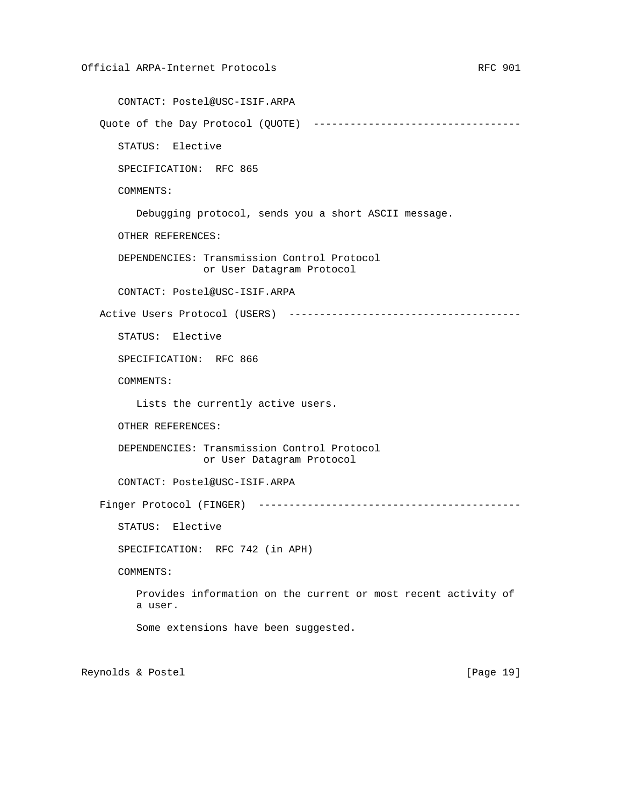```
 CONTACT: Postel@USC-ISIF.ARPA
Quote of the Day Protocol (QUOTE) ----------------------------------
    STATUS: Elective
    SPECIFICATION: RFC 865
    COMMENTS:
       Debugging protocol, sends you a short ASCII message.
    OTHER REFERENCES:
    DEPENDENCIES: Transmission Control Protocol
                 or User Datagram Protocol
    CONTACT: Postel@USC-ISIF.ARPA
 Active Users Protocol (USERS) --------------------------------------
    STATUS: Elective
    SPECIFICATION: RFC 866
    COMMENTS:
       Lists the currently active users.
    OTHER REFERENCES:
    DEPENDENCIES: Transmission Control Protocol
                  or User Datagram Protocol
    CONTACT: Postel@USC-ISIF.ARPA
 Finger Protocol (FINGER) -------------------------------------------
    STATUS: Elective
    SPECIFICATION: RFC 742 (in APH)
    COMMENTS:
       Provides information on the current or most recent activity of
       a user.
       Some extensions have been suggested.
```
Reynolds & Postel [Page 19]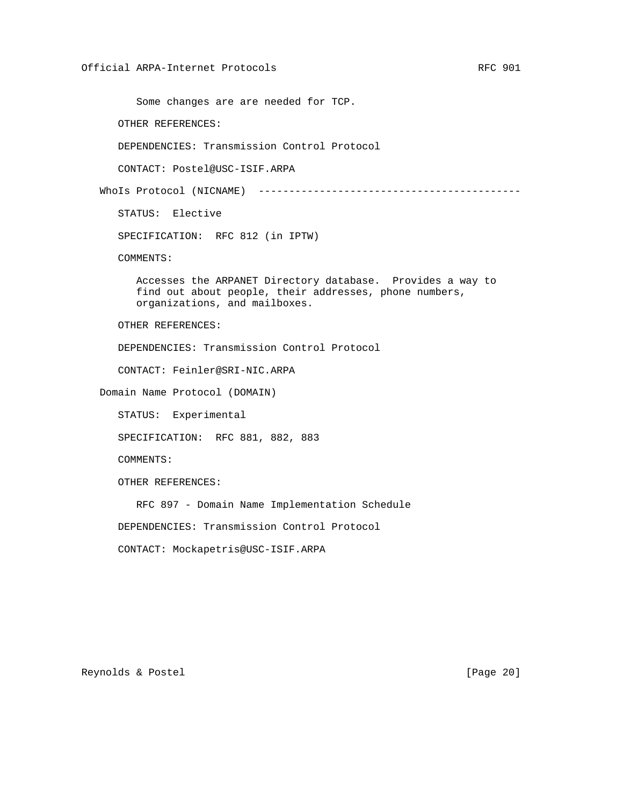Some changes are are needed for TCP.

OTHER REFERENCES:

DEPENDENCIES: Transmission Control Protocol

CONTACT: Postel@USC-ISIF.ARPA

WhoIs Protocol (NICNAME) -------------------------------------------

STATUS: Elective

SPECIFICATION: RFC 812 (in IPTW)

COMMENTS:

 Accesses the ARPANET Directory database. Provides a way to find out about people, their addresses, phone numbers, organizations, and mailboxes.

OTHER REFERENCES:

DEPENDENCIES: Transmission Control Protocol

CONTACT: Feinler@SRI-NIC.ARPA

Domain Name Protocol (DOMAIN)

STATUS: Experimental

SPECIFICATION: RFC 881, 882, 883

COMMENTS:

OTHER REFERENCES:

RFC 897 - Domain Name Implementation Schedule

DEPENDENCIES: Transmission Control Protocol

CONTACT: Mockapetris@USC-ISIF.ARPA

Reynolds & Postel [Page 20]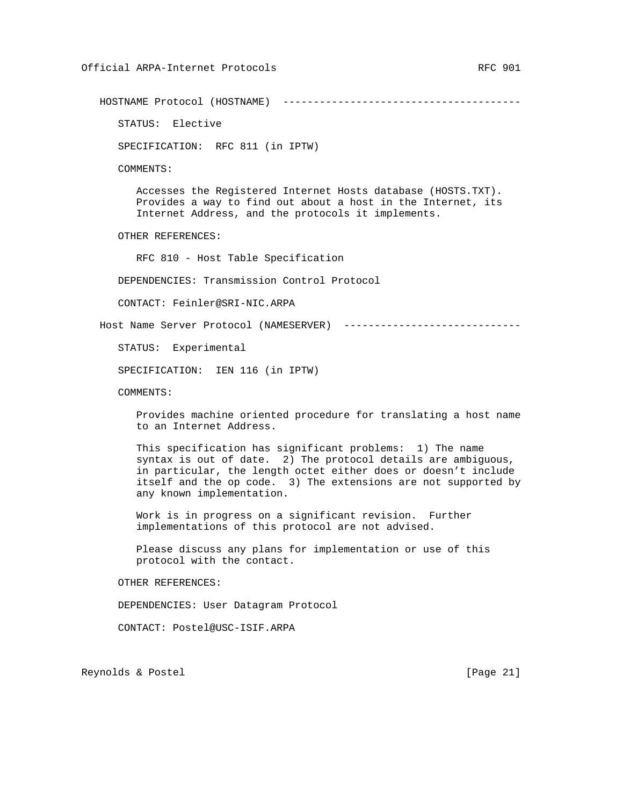HOSTNAME Protocol (HOSTNAME) ---------------------------------------

STATUS: Elective

SPECIFICATION: RFC 811 (in IPTW)

COMMENTS:

 Accesses the Registered Internet Hosts database (HOSTS.TXT). Provides a way to find out about a host in the Internet, its Internet Address, and the protocols it implements.

OTHER REFERENCES:

RFC 810 - Host Table Specification

DEPENDENCIES: Transmission Control Protocol

CONTACT: Feinler@SRI-NIC.ARPA

Host Name Server Protocol (NAMESERVER) -----------------------------

STATUS: Experimental

SPECIFICATION: IEN 116 (in IPTW)

COMMENTS:

 Provides machine oriented procedure for translating a host name to an Internet Address.

 This specification has significant problems: 1) The name syntax is out of date. 2) The protocol details are ambiguous, in particular, the length octet either does or doesn't include itself and the op code. 3) The extensions are not supported by any known implementation.

 Work is in progress on a significant revision. Further implementations of this protocol are not advised.

 Please discuss any plans for implementation or use of this protocol with the contact.

OTHER REFERENCES:

DEPENDENCIES: User Datagram Protocol

CONTACT: Postel@USC-ISIF.ARPA

Reynolds & Postel [Page 21]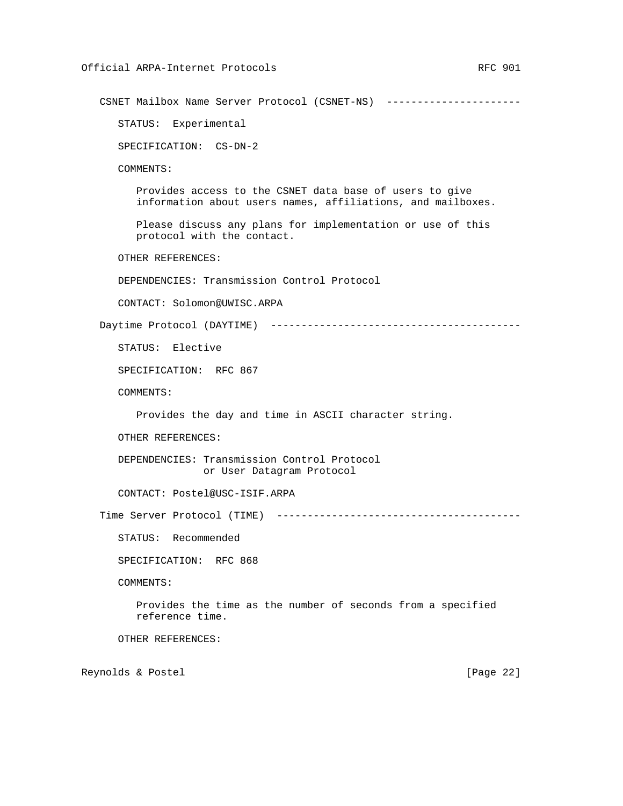CSNET Mailbox Name Server Protocol (CSNET-NS) ---------------------- STATUS: Experimental SPECIFICATION: CS-DN-2 COMMENTS: Provides access to the CSNET data base of users to give information about users names, affiliations, and mailboxes. Please discuss any plans for implementation or use of this protocol with the contact. OTHER REFERENCES: DEPENDENCIES: Transmission Control Protocol CONTACT: Solomon@UWISC.ARPA Daytime Protocol (DAYTIME) ----------------------------------------- STATUS: Elective SPECIFICATION: RFC 867 COMMENTS: Provides the day and time in ASCII character string. OTHER REFERENCES: DEPENDENCIES: Transmission Control Protocol or User Datagram Protocol CONTACT: Postel@USC-ISIF.ARPA Time Server Protocol (TIME) ---------------------------------------- STATUS: Recommended SPECIFICATION: RFC 868 COMMENTS: Provides the time as the number of seconds from a specified reference time. OTHER REFERENCES: Reynolds & Postel [Page 22]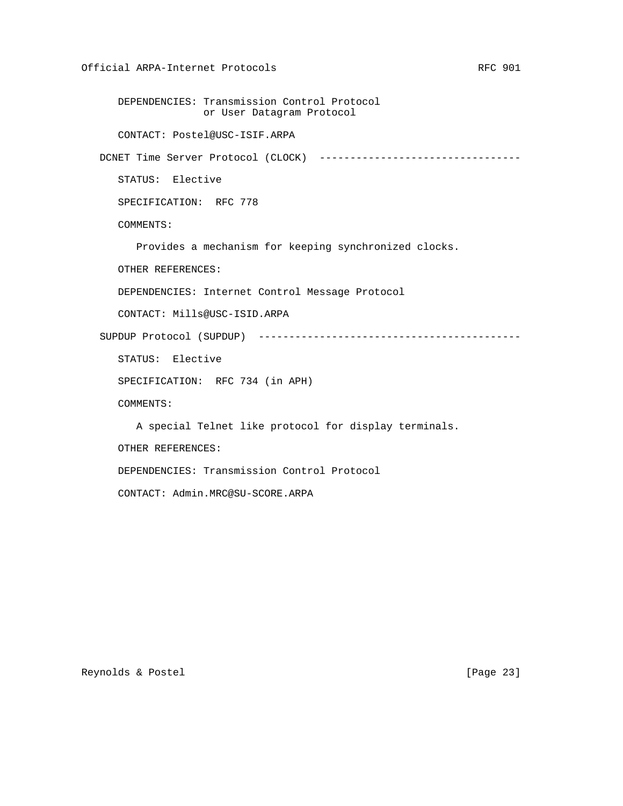DEPENDENCIES: Transmission Control Protocol or User Datagram Protocol CONTACT: Postel@USC-ISIF.ARPA DCNET Time Server Protocol (CLOCK) ---------------------------------- STATUS: Elective SPECIFICATION: RFC 778 COMMENTS: Provides a mechanism for keeping synchronized clocks. OTHER REFERENCES: DEPENDENCIES: Internet Control Message Protocol CONTACT: Mills@USC-ISID.ARPA SUPDUP Protocol (SUPDUP) ------------------------------------------- STATUS: Elective SPECIFICATION: RFC 734 (in APH) COMMENTS: A special Telnet like protocol for display terminals. OTHER REFERENCES: DEPENDENCIES: Transmission Control Protocol CONTACT: Admin.MRC@SU-SCORE.ARPA

Reynolds & Postel [Page 23]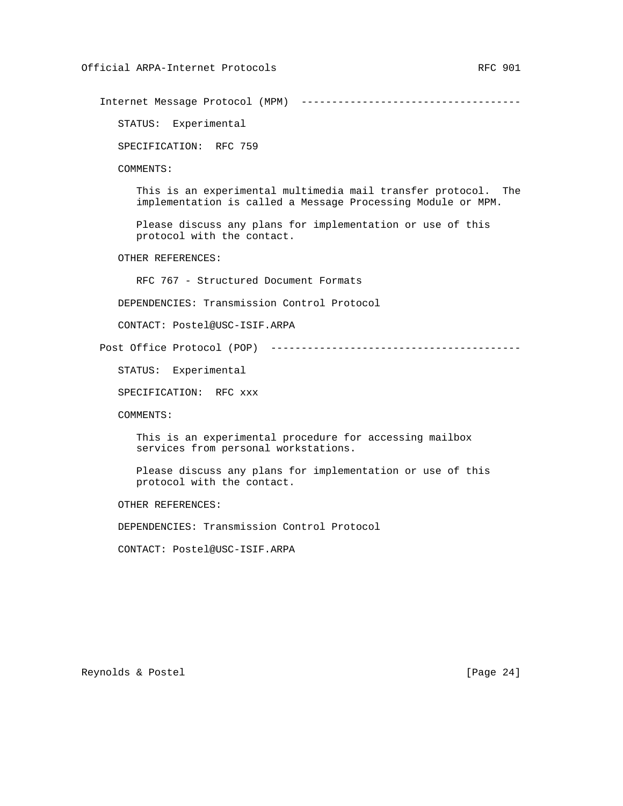Internet Message Protocol (MPM) ------------------------------------

STATUS: Experimental

SPECIFICATION: RFC 759

COMMENTS:

 This is an experimental multimedia mail transfer protocol. The implementation is called a Message Processing Module or MPM.

 Please discuss any plans for implementation or use of this protocol with the contact.

OTHER REFERENCES:

RFC 767 - Structured Document Formats

DEPENDENCIES: Transmission Control Protocol

CONTACT: Postel@USC-ISIF.ARPA

Post Office Protocol (POP) -----------------------------------------

STATUS: Experimental

SPECIFICATION: RFC xxx

COMMENTS:

 This is an experimental procedure for accessing mailbox services from personal workstations.

 Please discuss any plans for implementation or use of this protocol with the contact.

OTHER REFERENCES:

DEPENDENCIES: Transmission Control Protocol

CONTACT: Postel@USC-ISIF.ARPA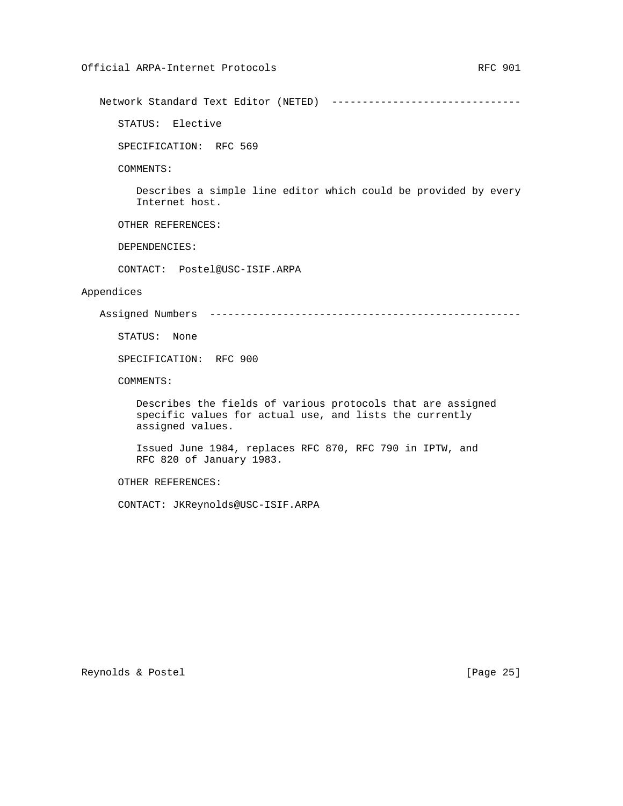Network Standard Text Editor (NETED) -------------------------------

STATUS: Elective

SPECIFICATION: RFC 569

COMMENTS:

 Describes a simple line editor which could be provided by every Internet host.

OTHER REFERENCES:

DEPENDENCIES:

CONTACT: Postel@USC-ISIF.ARPA

## Appendices

Assigned Numbers ---------------------------------------------------

STATUS: None

SPECIFICATION: RFC 900

COMMENTS:

 Describes the fields of various protocols that are assigned specific values for actual use, and lists the currently assigned values.

 Issued June 1984, replaces RFC 870, RFC 790 in IPTW, and RFC 820 of January 1983.

# OTHER REFERENCES:

CONTACT: JKReynolds@USC-ISIF.ARPA

Reynolds & Postel [Page 25]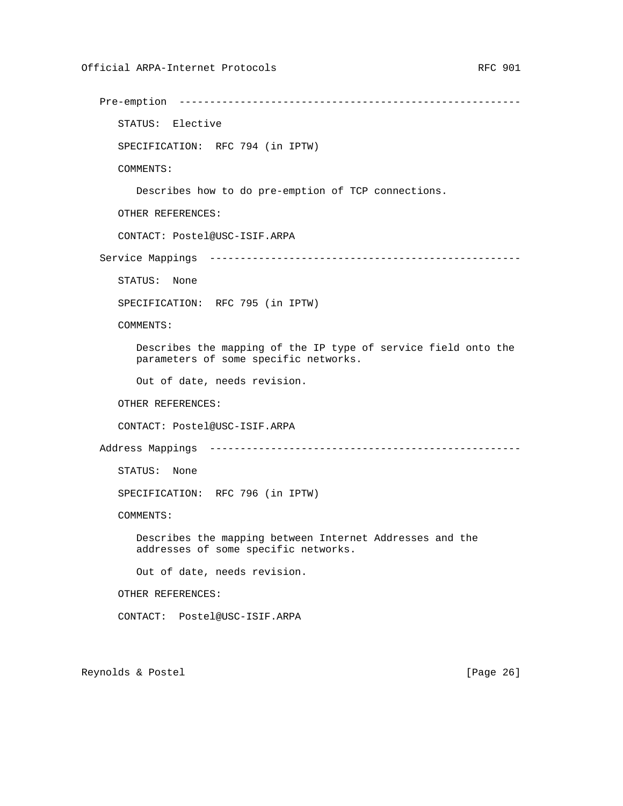STATUS: Elective SPECIFICATION: RFC 794 (in IPTW) COMMENTS: Describes how to do pre-emption of TCP connections. OTHER REFERENCES: CONTACT: Postel@USC-ISIF.ARPA Service Mappings --------------------------------------------------- STATUS: None SPECIFICATION: RFC 795 (in IPTW) COMMENTS: Describes the mapping of the IP type of service field onto the parameters of some specific networks. Out of date, needs revision. OTHER REFERENCES: CONTACT: Postel@USC-ISIF.ARPA Address Mappings --------------------------------------------------- STATUS: None SPECIFICATION: RFC 796 (in IPTW) COMMENTS: Describes the mapping between Internet Addresses and the addresses of some specific networks. Out of date, needs revision. OTHER REFERENCES: CONTACT: Postel@USC-ISIF.ARPA

Pre-emption --------------------------------------------------------

Reynolds & Postel [Page 26]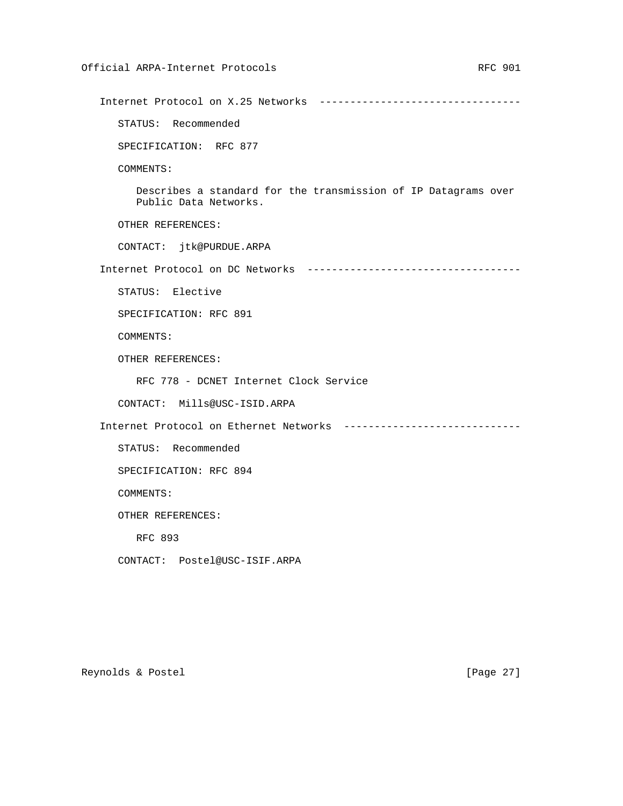Internet Protocol on X.25 Networks --------------------------------- STATUS: Recommended SPECIFICATION: RFC 877 COMMENTS: Describes a standard for the transmission of IP Datagrams over Public Data Networks. OTHER REFERENCES: CONTACT: jtk@PURDUE.ARPA Internet Protocol on DC Networks ----------------------------------- STATUS: Elective SPECIFICATION: RFC 891 COMMENTS: OTHER REFERENCES: RFC 778 - DCNET Internet Clock Service CONTACT: Mills@USC-ISID.ARPA Internet Protocol on Ethernet Networks ----------------------------- STATUS: Recommended SPECIFICATION: RFC 894 COMMENTS: OTHER REFERENCES: RFC 893 CONTACT: Postel@USC-ISIF.ARPA

Reynolds & Postel [Page 27]